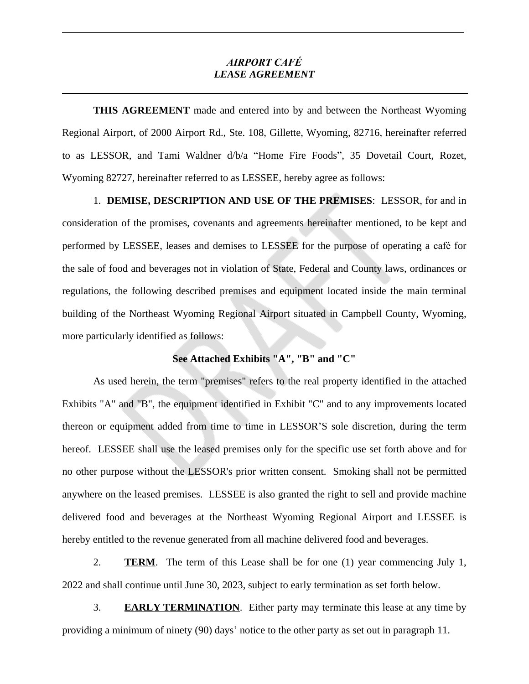## *AIRPORT CAFÉ LEASE AGREEMENT*

**THIS AGREEMENT** made and entered into by and between the Northeast Wyoming Regional Airport, of 2000 Airport Rd., Ste. 108, Gillette, Wyoming, 82716, hereinafter referred to as LESSOR, and Tami Waldner d/b/a "Home Fire Foods", 35 Dovetail Court, Rozet, Wyoming 82727, hereinafter referred to as LESSEE, hereby agree as follows:

1. **DEMISE, DESCRIPTION AND USE OF THE PREMISES**: LESSOR, for and in consideration of the promises, covenants and agreements hereinafter mentioned, to be kept and performed by LESSEE, leases and demises to LESSEE for the purpose of operating a café for the sale of food and beverages not in violation of State, Federal and County laws, ordinances or regulations, the following described premises and equipment located inside the main terminal building of the Northeast Wyoming Regional Airport situated in Campbell County, Wyoming, more particularly identified as follows:

## **See Attached Exhibits "A", "B" and "C"**

As used herein, the term "premises" refers to the real property identified in the attached Exhibits "A" and "B", the equipment identified in Exhibit "C" and to any improvements located thereon or equipment added from time to time in LESSOR'S sole discretion, during the term hereof. LESSEE shall use the leased premises only for the specific use set forth above and for no other purpose without the LESSOR's prior written consent. Smoking shall not be permitted anywhere on the leased premises. LESSEE is also granted the right to sell and provide machine delivered food and beverages at the Northeast Wyoming Regional Airport and LESSEE is hereby entitled to the revenue generated from all machine delivered food and beverages.

2. **TERM**. The term of this Lease shall be for one (1) year commencing July 1, 2022 and shall continue until June 30, 2023, subject to early termination as set forth below.

3. **EARLY TERMINATION**. Either party may terminate this lease at any time by providing a minimum of ninety (90) days' notice to the other party as set out in paragraph 11.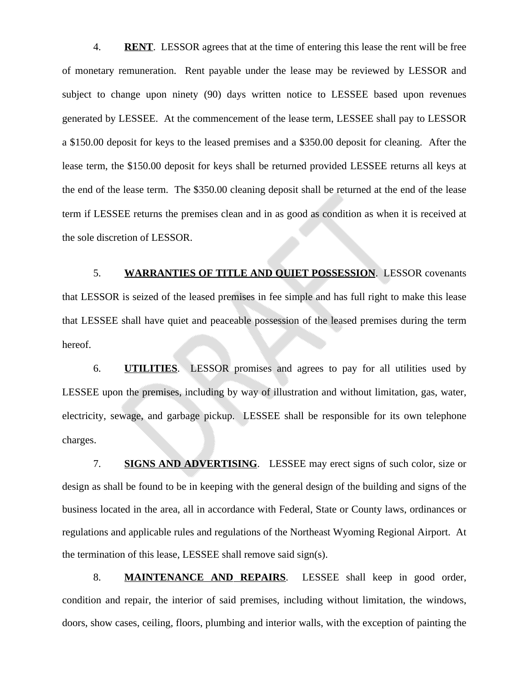4. **RENT**. LESSOR agrees that at the time of entering this lease the rent will be free of monetary remuneration. Rent payable under the lease may be reviewed by LESSOR and subject to change upon ninety (90) days written notice to LESSEE based upon revenues generated by LESSEE. At the commencement of the lease term, LESSEE shall pay to LESSOR a \$150.00 deposit for keys to the leased premises and a \$350.00 deposit for cleaning. After the lease term, the \$150.00 deposit for keys shall be returned provided LESSEE returns all keys at the end of the lease term. The \$350.00 cleaning deposit shall be returned at the end of the lease term if LESSEE returns the premises clean and in as good as condition as when it is received at the sole discretion of LESSOR.

5. **WARRANTIES OF TITLE AND QUIET POSSESSION**. LESSOR covenants that LESSOR is seized of the leased premises in fee simple and has full right to make this lease that LESSEE shall have quiet and peaceable possession of the leased premises during the term hereof.

6. **UTILITIES**. LESSOR promises and agrees to pay for all utilities used by LESSEE upon the premises, including by way of illustration and without limitation, gas, water, electricity, sewage, and garbage pickup. LESSEE shall be responsible for its own telephone charges.

7. **SIGNS AND ADVERTISING**. LESSEE may erect signs of such color, size or design as shall be found to be in keeping with the general design of the building and signs of the business located in the area, all in accordance with Federal, State or County laws, ordinances or regulations and applicable rules and regulations of the Northeast Wyoming Regional Airport. At the termination of this lease, LESSEE shall remove said sign(s).

8. **MAINTENANCE AND REPAIRS**. LESSEE shall keep in good order, condition and repair, the interior of said premises, including without limitation, the windows, doors, show cases, ceiling, floors, plumbing and interior walls, with the exception of painting the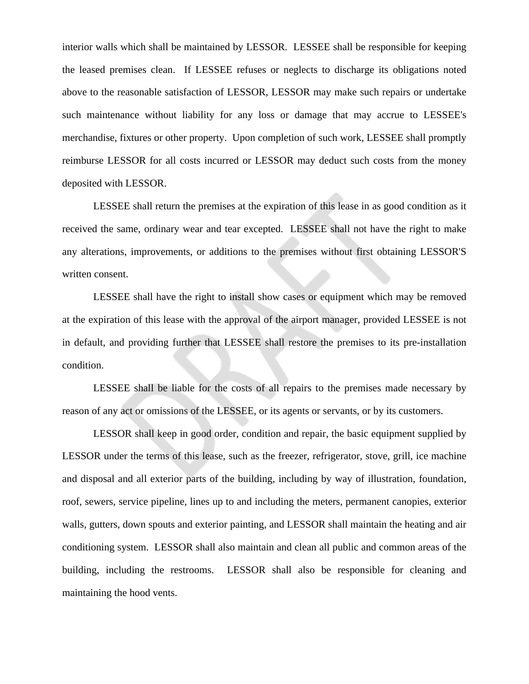interior walls which shall be maintained by LESSOR. LESSEE shall be responsible for keeping the leased premises clean. If LESSEE refuses or neglects to discharge its obligations noted above to the reasonable satisfaction of LESSOR, LESSOR may make such repairs or undertake such maintenance without liability for any loss or damage that may accrue to LESSEE's merchandise, fixtures or other property. Upon completion of such work, LESSEE shall promptly reimburse LESSOR for all costs incurred or LESSOR may deduct such costs from the money deposited with LESSOR.

LESSEE shall return the premises at the expiration of this lease in as good condition as it received the same, ordinary wear and tear excepted. LESSEE shall not have the right to make any alterations, improvements, or additions to the premises without first obtaining LESSOR'S written consent.

LESSEE shall have the right to install show cases or equipment which may be removed at the expiration of this lease with the approval of the airport manager, provided LESSEE is not in default, and providing further that LESSEE shall restore the premises to its pre-installation condition.

LESSEE shall be liable for the costs of all repairs to the premises made necessary by reason of any act or omissions of the LESSEE, or its agents or servants, or by its customers.

LESSOR shall keep in good order, condition and repair, the basic equipment supplied by LESSOR under the terms of this lease, such as the freezer, refrigerator, stove, grill, ice machine and disposal and all exterior parts of the building, including by way of illustration, foundation, roof, sewers, service pipeline, lines up to and including the meters, permanent canopies, exterior walls, gutters, down spouts and exterior painting, and LESSOR shall maintain the heating and air conditioning system. LESSOR shall also maintain and clean all public and common areas of the building, including the restrooms. LESSOR shall also be responsible for cleaning and maintaining the hood vents.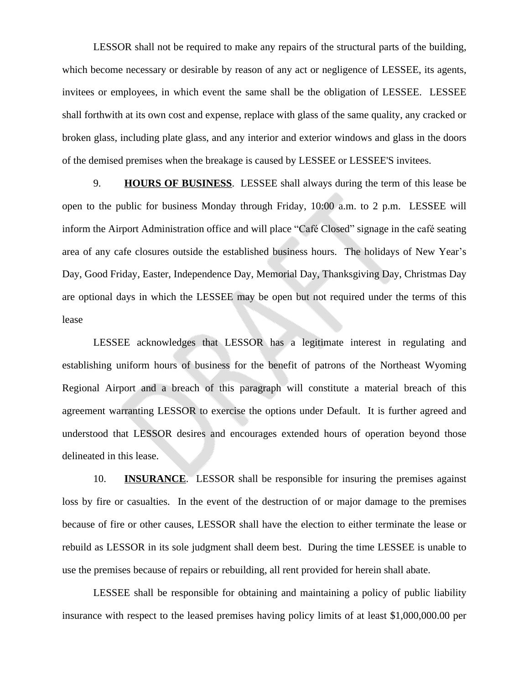LESSOR shall not be required to make any repairs of the structural parts of the building, which become necessary or desirable by reason of any act or negligence of LESSEE, its agents, invitees or employees, in which event the same shall be the obligation of LESSEE. LESSEE shall forthwith at its own cost and expense, replace with glass of the same quality, any cracked or broken glass, including plate glass, and any interior and exterior windows and glass in the doors of the demised premises when the breakage is caused by LESSEE or LESSEE'S invitees.

9. **HOURS OF BUSINESS**. LESSEE shall always during the term of this lease be open to the public for business Monday through Friday, 10:00 a.m. to 2 p.m. LESSEE will inform the Airport Administration office and will place "Café Closed" signage in the café seating area of any cafe closures outside the established business hours. The holidays of New Year's Day, Good Friday, Easter, Independence Day, Memorial Day, Thanksgiving Day, Christmas Day are optional days in which the LESSEE may be open but not required under the terms of this lease

LESSEE acknowledges that LESSOR has a legitimate interest in regulating and establishing uniform hours of business for the benefit of patrons of the Northeast Wyoming Regional Airport and a breach of this paragraph will constitute a material breach of this agreement warranting LESSOR to exercise the options under Default. It is further agreed and understood that LESSOR desires and encourages extended hours of operation beyond those delineated in this lease.

10. **INSURANCE**. LESSOR shall be responsible for insuring the premises against loss by fire or casualties. In the event of the destruction of or major damage to the premises because of fire or other causes, LESSOR shall have the election to either terminate the lease or rebuild as LESSOR in its sole judgment shall deem best. During the time LESSEE is unable to use the premises because of repairs or rebuilding, all rent provided for herein shall abate.

LESSEE shall be responsible for obtaining and maintaining a policy of public liability insurance with respect to the leased premises having policy limits of at least \$1,000,000.00 per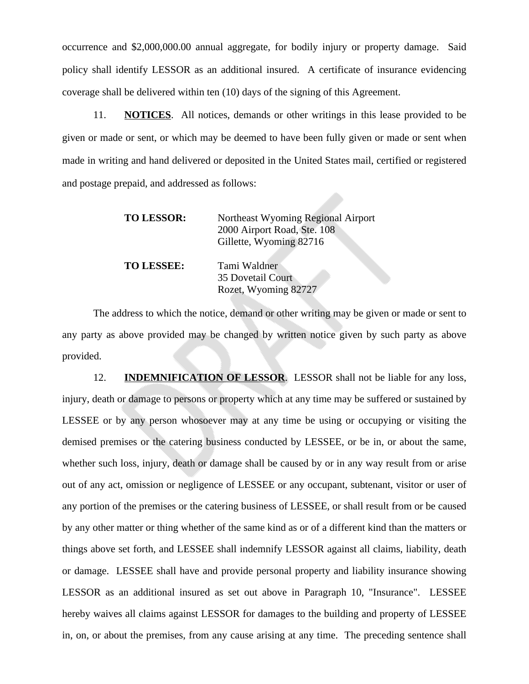occurrence and \$2,000,000.00 annual aggregate, for bodily injury or property damage. Said policy shall identify LESSOR as an additional insured. A certificate of insurance evidencing coverage shall be delivered within ten (10) days of the signing of this Agreement.

11. **NOTICES**. All notices, demands or other writings in this lease provided to be given or made or sent, or which may be deemed to have been fully given or made or sent when made in writing and hand delivered or deposited in the United States mail, certified or registered and postage prepaid, and addressed as follows:

| <b>TO LESSOR:</b> | Northeast Wyoming Regional Airport<br>2000 Airport Road, Ste. 108<br>Gillette, Wyoming 82716 |
|-------------------|----------------------------------------------------------------------------------------------|
| <b>TO LESSEE:</b> | Tami Waldner<br><b>35 Dovetail Court</b><br>Rozet, Wyoming 82727                             |

The address to which the notice, demand or other writing may be given or made or sent to any party as above provided may be changed by written notice given by such party as above provided.

12. **INDEMNIFICATION OF LESSOR**. LESSOR shall not be liable for any loss, injury, death or damage to persons or property which at any time may be suffered or sustained by LESSEE or by any person whosoever may at any time be using or occupying or visiting the demised premises or the catering business conducted by LESSEE, or be in, or about the same, whether such loss, injury, death or damage shall be caused by or in any way result from or arise out of any act, omission or negligence of LESSEE or any occupant, subtenant, visitor or user of any portion of the premises or the catering business of LESSEE, or shall result from or be caused by any other matter or thing whether of the same kind as or of a different kind than the matters or things above set forth, and LESSEE shall indemnify LESSOR against all claims, liability, death or damage. LESSEE shall have and provide personal property and liability insurance showing LESSOR as an additional insured as set out above in Paragraph 10, "Insurance". LESSEE hereby waives all claims against LESSOR for damages to the building and property of LESSEE in, on, or about the premises, from any cause arising at any time. The preceding sentence shall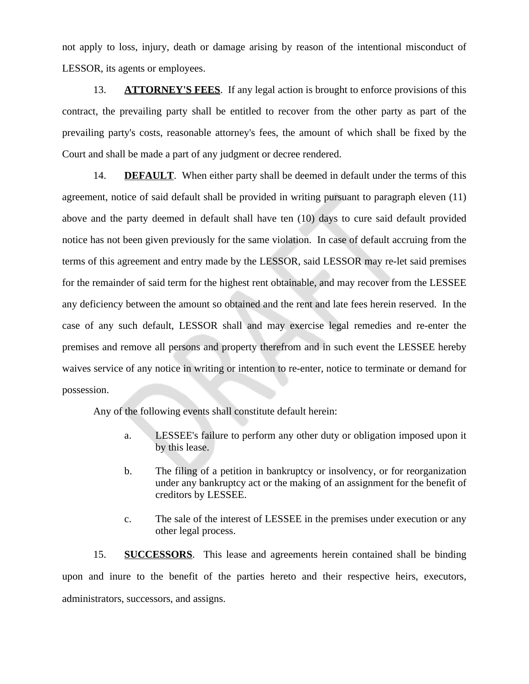not apply to loss, injury, death or damage arising by reason of the intentional misconduct of LESSOR, its agents or employees.

13. **ATTORNEY'S FEES**. If any legal action is brought to enforce provisions of this contract, the prevailing party shall be entitled to recover from the other party as part of the prevailing party's costs, reasonable attorney's fees, the amount of which shall be fixed by the Court and shall be made a part of any judgment or decree rendered.

14. **DEFAULT**. When either party shall be deemed in default under the terms of this agreement, notice of said default shall be provided in writing pursuant to paragraph eleven (11) above and the party deemed in default shall have ten (10) days to cure said default provided notice has not been given previously for the same violation. In case of default accruing from the terms of this agreement and entry made by the LESSOR, said LESSOR may re-let said premises for the remainder of said term for the highest rent obtainable, and may recover from the LESSEE any deficiency between the amount so obtained and the rent and late fees herein reserved. In the case of any such default, LESSOR shall and may exercise legal remedies and re-enter the premises and remove all persons and property therefrom and in such event the LESSEE hereby waives service of any notice in writing or intention to re-enter, notice to terminate or demand for possession.

Any of the following events shall constitute default herein:

- a. LESSEE's failure to perform any other duty or obligation imposed upon it by this lease.
- b. The filing of a petition in bankruptcy or insolvency, or for reorganization under any bankruptcy act or the making of an assignment for the benefit of creditors by LESSEE.
- c. The sale of the interest of LESSEE in the premises under execution or any other legal process.

15. **SUCCESSORS**. This lease and agreements herein contained shall be binding upon and inure to the benefit of the parties hereto and their respective heirs, executors, administrators, successors, and assigns.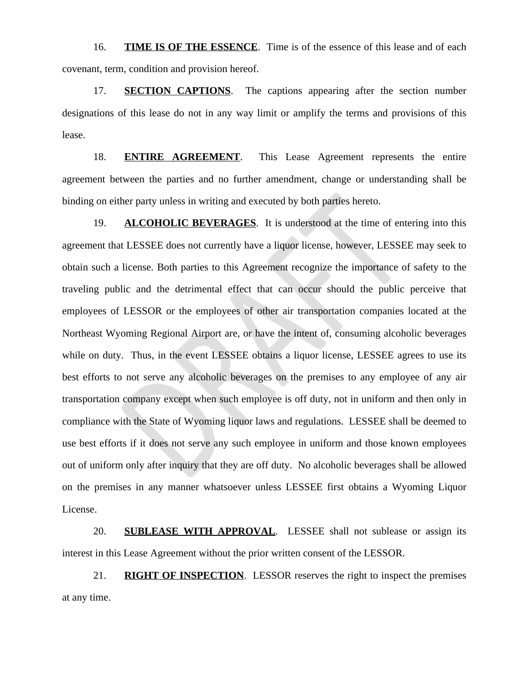16. **TIME IS OF THE ESSENCE**. Time is of the essence of this lease and of each covenant, term, condition and provision hereof.

17. **SECTION CAPTIONS**. The captions appearing after the section number designations of this lease do not in any way limit or amplify the terms and provisions of this lease.

18. **ENTIRE AGREEMENT**. This Lease Agreement represents the entire agreement between the parties and no further amendment, change or understanding shall be binding on either party unless in writing and executed by both parties hereto.

19. **ALCOHOLIC BEVERAGES**. It is understood at the time of entering into this agreement that LESSEE does not currently have a liquor license, however, LESSEE may seek to obtain such a license. Both parties to this Agreement recognize the importance of safety to the traveling public and the detrimental effect that can occur should the public perceive that employees of LESSOR or the employees of other air transportation companies located at the Northeast Wyoming Regional Airport are, or have the intent of, consuming alcoholic beverages while on duty. Thus, in the event LESSEE obtains a liquor license, LESSEE agrees to use its best efforts to not serve any alcoholic beverages on the premises to any employee of any air transportation company except when such employee is off duty, not in uniform and then only in compliance with the State of Wyoming liquor laws and regulations. LESSEE shall be deemed to use best efforts if it does not serve any such employee in uniform and those known employees out of uniform only after inquiry that they are off duty. No alcoholic beverages shall be allowed on the premises in any manner whatsoever unless LESSEE first obtains a Wyoming Liquor License.

20. **SUBLEASE WITH APPROVAL**. LESSEE shall not sublease or assign its interest in this Lease Agreement without the prior written consent of the LESSOR.

21. **RIGHT OF INSPECTION**. LESSOR reserves the right to inspect the premises at any time.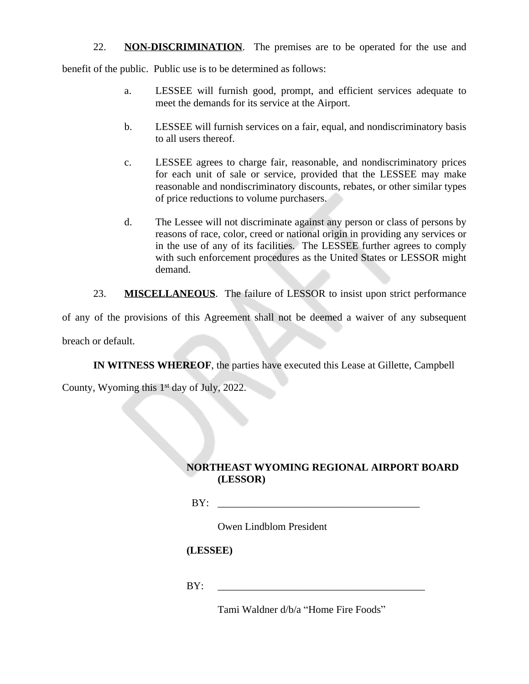22. **NON-DISCRIMINATION**. The premises are to be operated for the use and

benefit of the public. Public use is to be determined as follows:

- a. LESSEE will furnish good, prompt, and efficient services adequate to meet the demands for its service at the Airport.
- b. LESSEE will furnish services on a fair, equal, and nondiscriminatory basis to all users thereof.
- c. LESSEE agrees to charge fair, reasonable, and nondiscriminatory prices for each unit of sale or service, provided that the LESSEE may make reasonable and nondiscriminatory discounts, rebates, or other similar types of price reductions to volume purchasers.
- d. The Lessee will not discriminate against any person or class of persons by reasons of race, color, creed or national origin in providing any services or in the use of any of its facilities. The LESSEE further agrees to comply with such enforcement procedures as the United States or LESSOR might demand.

23. **MISCELLANEOUS**. The failure of LESSOR to insist upon strict performance

of any of the provisions of this Agreement shall not be deemed a waiver of any subsequent breach or default.

**IN WITNESS WHEREOF**, the parties have executed this Lease at Gillette, Campbell

County, Wyoming this 1 st day of July, 2022.

## **NORTHEAST WYOMING REGIONAL AIRPORT BOARD (LESSOR)**

BY: \_\_\_\_\_\_\_\_\_\_\_\_\_\_\_\_\_\_\_\_\_\_\_\_\_\_\_\_\_\_\_\_\_\_\_\_\_\_\_

Owen Lindblom President

## **(LESSEE)**

 $BY:$ 

Tami Waldner d/b/a "Home Fire Foods"